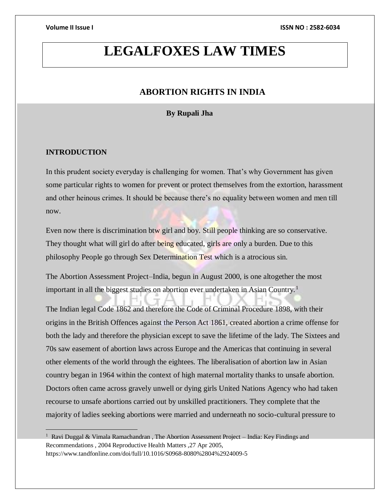# **LEGALFOXES LAW TIMES**

### **ABORTION RIGHTS IN INDIA**

### **By Rupali Jha**

### **INTRODUCTION**

 $\overline{a}$ 

In this prudent society everyday is challenging for women. That's why Government has given some particular rights to women for prevent or protect themselves from the extortion, harassment and other heinous crimes. It should be because there's no equality between women and men till now.

Even now there is discrimination btw girl and boy. Still people thinking are so conservative. They thought what will girl do after being educated, girls are only a burden. Due to this philosophy People go through Sex Determination Test which is a atrocious sin.

The Abortion Assessment Project–India, begun in August 2000, is one altogether the most important in all the biggest studies on abortion ever undertaken in Asian Country.<sup>1</sup>

The Indian legal Code 1862 and therefore the Code of Criminal Procedure 1898, with their origins in the British Offences against the Person Act 1861, created abortion a crime offense for both the lady and therefore the physician except to save the lifetime of the lady. The Sixtees and 70s saw easement of abortion laws across Europe and the Americas that continuing in several other elements of the world through the eightees. The liberalisation of abortion law in Asian country began in 1964 within the context of high maternal mortality thanks to unsafe abortion. Doctors often came across gravely unwell or dying girls United Nations Agency who had taken recourse to unsafe abortions carried out by unskilled practitioners. They complete that the majority of ladies seeking abortions were married and underneath no socio-cultural pressure to

<sup>&</sup>lt;sup>1</sup> Ravi Duggal & Vimala Ramachandran, The Abortion Assessment Project - India: Key Findings and Recommendations , 2004 Reproductive Health Matters ,27 Apr 2005, https://www.tandfonline.com/doi/full/10.1016/S0968-8080%2804%2924009-5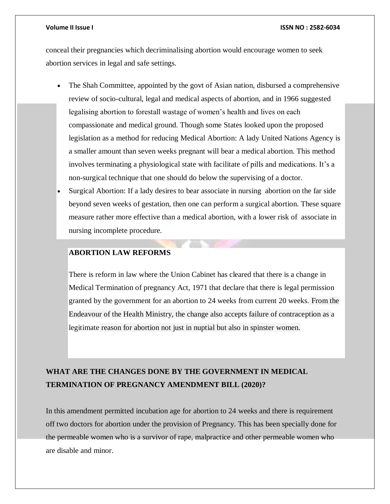conceal their pregnancies which decriminalising abortion would encourage women to seek abortion services in legal and safe settings.

- The Shah Committee, appointed by the govt of Asian nation, disbursed a comprehensive review of socio-cultural, legal and medical aspects of abortion, and in 1966 suggested legalising abortion to forestall wastage of women's health and lives on each compassionate and medical ground. Though some States looked upon the proposed legislation as a method for reducing Medical Abortion: A lady United Nations Agency is a smaller amount than seven weeks pregnant will bear a medical abortion. This method involves terminating a physiological state with facilitate of pills and medications. It's a non-surgical technique that one should do below the supervising of a doctor.
- Surgical Abortion: If a lady desires to bear associate in nursing abortion on the far side beyond seven weeks of gestation, then one can perform a surgical abortion. These square measure rather more effective than a medical abortion, with a lower risk of associate in nursing incomplete procedure.

### **ABORTION LAW REFORMS**

There is reform in law where the Union Cabinet has cleared that there is a change in Medical Termination of pregnancy Act, 1971 that declare that there is legal permission granted by the government for an abortion to 24 weeks from current 20 weeks. From the Endeavour of the Health Ministry, the change also accepts failure of contraception as a legitimate reason for abortion not just in nuptial but also in spinster women.

## **WHAT ARE THE CHANGES DONE BY THE GOVERNMENT IN MEDICAL TERMINATION OF PREGNANCY AMENDMENT BILL (2020)?**

In this amendment permitted incubation age for abortion to 24 weeks and there is requirement off two doctors for abortion under the provision of Pregnancy. This has been specially done for the permeable women who is a survivor of rape, malpractice and other permeable women who are disable and minor.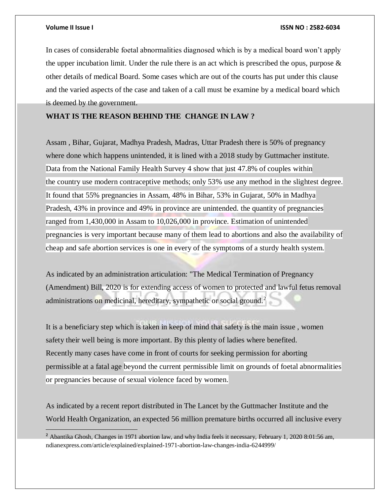$\overline{a}$ 

In cases of considerable foetal abnormalities diagnosed which is by a medical board won't apply the upper incubation limit. Under the rule there is an act which is prescribed the opus, purpose  $\&$ other details of medical Board. Some cases which are out of the courts has put under this clause and the varied aspects of the case and taken of a call must be examine by a medical board which is deemed by the government.

### **WHAT IS THE REASON BEHIND THE CHANGE IN LAW ?**

Assam , Bihar, Gujarat, Madhya Pradesh, Madras, Uttar Pradesh there is 50% of pregnancy where done which happens unintended, it is lined with a 2018 study by Guttmacher institute. Data from the National Family Health Survey 4 show that just 47.8% of couples within the country use modern contraceptive methods; only 53% use any method in the slightest degree. It found that 55% pregnancies in Assam, 48% in Bihar, 53% in Gujarat, 50% in Madhya Pradesh, 43% in province and 49% in province are unintended. the quantity of pregnancies ranged from 1,430,000 in Assam to 10,026,000 in province. Estimation of unintended pregnancies is very important because many of them lead to abortions and also the availability of cheap and safe abortion services is one in every of the symptoms of a sturdy health system.

As indicated by an administration articulation: "The Medical Termination of Pregnancy (Amendment) Bill, 2020 is for extending access of women to protected and lawful fetus removal administrations on medicinal, hereditary, sympathetic or social ground.<sup>2</sup>

It is a beneficiary step which is taken in keep of mind that safety is the main issue , women safety their well being is more important. By this plenty of ladies where benefited. Recently many cases have come in front of courts for seeking permission for aborting permissible at a fatal age beyond the current permissible limit on grounds of foetal abnormalities or pregnancies because of sexual violence faced by women.

As indicated by a recent report distributed in The Lancet by the Guttmacher Institute and the World Health Organization, an expected 56 million premature births occurred all inclusive every

**<sup>2</sup>** Abantika Ghosh, Changes in 1971 abortion law, and why India feels it necessary, February 1, 2020 8:01:56 am, ndianexpress.com/article/explained/explained-1971-abortion-law-changes-india-6244999/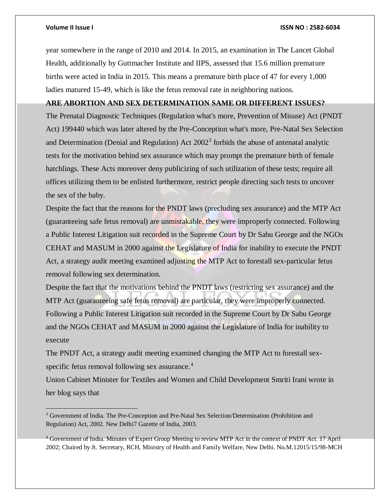$\overline{a}$ 

year somewhere in the range of 2010 and 2014. In 2015, an examination in The Lancet Global Health, additionally by Guttmacher Institute and IIPS, assessed that 15.6 million premature births were acted in India in 2015. This means a premature birth place of 47 for every 1,000 ladies matured 15-49, which is like the fetus removal rate in neighboring nations.

#### **ARE ABORTION AND SEX DETERMINATION SAME OR DIFFERENT ISSUES?**

The Prenatal Diagnostic Techniques (Regulation what's more, Prevention of Misuse) Act (PNDT Act) 199440 which was later altered by the Pre-Conception what's more, Pre-Natal Sex Selection and Determination (Denial and Regulation) Act  $2002<sup>3</sup>$  forbids the abuse of antenatal analytic tests for the motivation behind sex assurance which may prompt the premature birth of female hatchlings. These Acts moreover deny publicizing of such utilization of these tests; require all offices utilizing them to be enlisted furthermore, restrict people directing such tests to uncover the sex of the baby.

Despite the fact that the reasons for the PNDT laws (precluding sex assurance) and the MTP Act (guaranteeing safe fetus removal) are unmistakable, they were improperly connected. Following a Public Interest Litigation suit recorded in the Supreme Court by Dr Sabu George and the NGOs CEHAT and MASUM in 2000 against the Legislature of India for inability to execute the PNDT Act, a strategy audit meeting examined adjusting the MTP Act to forestall sex-particular fetus removal following sex determination.

Despite the fact that the motivations behind the PNDT laws (restricting sex assurance) and the MTP Act (guaranteeing safe fetus removal) are particular, they were improperly connected. Following a Public Interest Litigation suit recorded in the Supreme Court by Dr Sabu George and the NGOs CEHAT and MASUM in 2000 against the Legislature of India for inability to execute

The PNDT Act, a strategy audit meeting examined changing the MTP Act to forestall sexspecific fetus removal following sex assurance.<sup>4</sup>

Union Cabinet Minister for Textiles and Women and Child Development Smriti Irani wrote in her blog says that

<sup>&</sup>lt;sup>3</sup> Government of India. The Pre-Conception and Pre-Natal Sex Selection/Determination (Prohibition and Regulation) Act, 2002. New Delhi7 Gazette of India, 2003.

<sup>4</sup> Government of India. Minutes of Expert Group Meeting to review MTP Act in the context of PNDT Act. 17 April 2002; Chaired by Jt. Secretary, RCH, Ministry of Health and Family Welfare, New Delhi. No.M.12015/15/98-MCH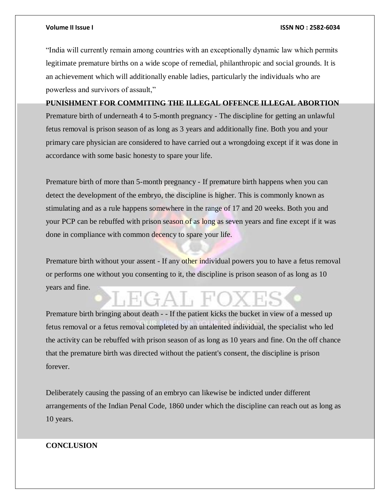"India will currently remain among countries with an exceptionally dynamic law which permits legitimate premature births on a wide scope of remedial, philanthropic and social grounds. It is an achievement which will additionally enable ladies, particularly the individuals who are powerless and survivors of assault,"

**PUNISHMENT FOR COMMITING THE ILLEGAL OFFENCE ILLEGAL ABORTION** Premature birth of underneath 4 to 5-month pregnancy - The discipline for getting an unlawful fetus removal is prison season of as long as 3 years and additionally fine. Both you and your primary care physician are considered to have carried out a wrongdoing except if it was done in accordance with some basic honesty to spare your life.

Premature birth of more than 5-month pregnancy - If premature birth happens when you can detect the development of the embryo, the discipline is higher. This is commonly known as stimulating and as a rule happens somewhere in the range of 17 and 20 weeks. Both you and your PCP can be rebuffed with prison season of as long as seven years and fine except if it was done in compliance with common decency to spare your life.

Premature birth without your assent - If any other individual powers you to have a fetus removal or performs one without you consenting to it, the discipline is prison season of as long as 10 years and fine.

Premature birth bringing about death - - If the patient kicks the bucket in view of a messed up fetus removal or a fetus removal completed by an untalented individual, the specialist who led the activity can be rebuffed with prison season of as long as 10 years and fine. On the off chance that the premature birth was directed without the patient's consent, the discipline is prison forever.

Deliberately causing the passing of an embryo can likewise be indicted under different arrangements of the Indian Penal Code, 1860 under which the discipline can reach out as long as 10 years.

#### **CONCLUSION**